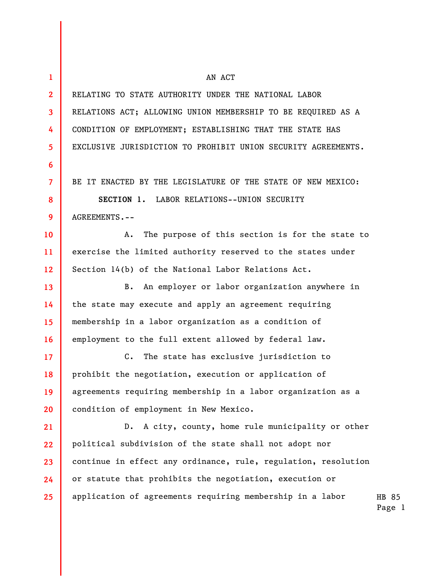| $\mathbf{1}$   | AN ACT                                                         |                 |
|----------------|----------------------------------------------------------------|-----------------|
| $\mathbf{2}$   | RELATING TO STATE AUTHORITY UNDER THE NATIONAL LABOR           |                 |
| 3              | RELATIONS ACT; ALLOWING UNION MEMBERSHIP TO BE REQUIRED AS A   |                 |
| 4              | CONDITION OF EMPLOYMENT; ESTABLISHING THAT THE STATE HAS       |                 |
| 5              | EXCLUSIVE JURISDICTION TO PROHIBIT UNION SECURITY AGREEMENTS.  |                 |
| 6              |                                                                |                 |
| $\overline{7}$ | BE IT ENACTED BY THE LEGISLATURE OF THE STATE OF NEW MEXICO:   |                 |
| 8              | SECTION 1. LABOR RELATIONS--UNION SECURITY                     |                 |
| 9              | AGREEMENTS.--                                                  |                 |
| 10             | The purpose of this section is for the state to<br>A.          |                 |
| 11             | exercise the limited authority reserved to the states under    |                 |
| 12             | Section 14(b) of the National Labor Relations Act.             |                 |
| 13             | An employer or labor organization anywhere in<br>В.            |                 |
| 14             | the state may execute and apply an agreement requiring         |                 |
| 15             | membership in a labor organization as a condition of           |                 |
| 16             | employment to the full extent allowed by federal law.          |                 |
| 17             | $C$ .<br>The state has exclusive jurisdiction to               |                 |
| 18             | prohibit the negotiation, execution or application of          |                 |
| 19             | agreements requiring membership in a labor organization as a   |                 |
| 20             | condition of employment in New Mexico.                         |                 |
| 21             | A city, county, home rule municipality or other<br>$D$ .       |                 |
| 22             | political subdivision of the state shall not adopt nor         |                 |
| 23             | continue in effect any ordinance, rule, regulation, resolution |                 |
| 24             | or statute that prohibits the negotiation, execution or        |                 |
| 25             | application of agreements requiring membership in a labor      | HB 85<br>Page 1 |